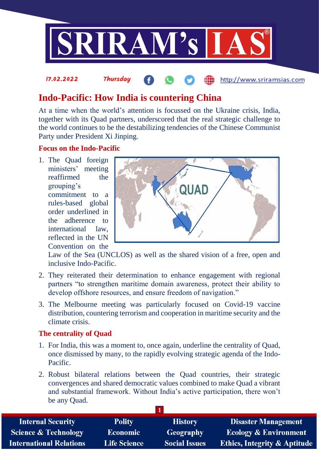

# **Indo-Pacific: How India is countering China**

At a time when the world's attention is focussed on the Ukraine crisis, India, together with its Quad partners, underscored that the real strategic challenge to the world continues to be the destabilizing tendencies of the Chinese Communist Party under President Xi Jinping.

## **Focus on the Indo-Pacific**

17.02.2022 Thursday

1. The Quad foreign ministers' meeting reaffirmed the grouping's commitment to a rules-based global order underlined in the adherence to international law, reflected in the UN Convention on the



http://www.sriramsias.com

Law of the Sea (UNCLOS) as well as the shared vision of a free, open and inclusive Indo-Pacific.

- 2. They reiterated their determination to enhance engagement with regional partners "to strengthen maritime domain awareness, protect their ability to develop offshore resources, and ensure freedom of navigation."
- 3. The Melbourne meeting was particularly focused on Covid-19 vaccine distribution, countering terrorism and cooperation in maritime security and the climate crisis.

## **The centrality of Quad**

- 1. For India, this was a moment to, once again, underline the centrality of Quad, once dismissed by many, to the rapidly evolving strategic agenda of the Indo-Pacific.
- 2. Robust bilateral relations between the Quad countries, their strategic convergences and shared democratic values combined to make Quad a vibrant and substantial framework. Without India's active participation, there won't be any Quad.

| <b>Internal Security</b>        | <b>Polity</b>       | <b>History</b>       | <b>Disaster Management</b>              |
|---------------------------------|---------------------|----------------------|-----------------------------------------|
| <b>Science &amp; Technology</b> | <b>Economic</b>     | Geography            | <b>Ecology &amp; Environment</b>        |
| <b>International Relations</b>  | <b>Life Science</b> | <b>Social Issues</b> | <b>Ethics, Integrity &amp; Aptitude</b> |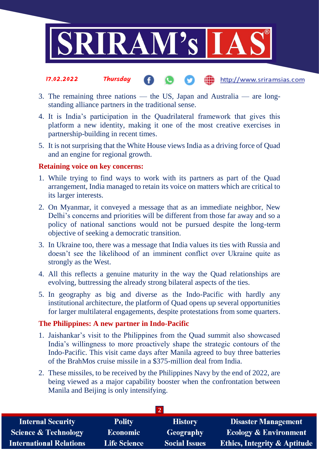

- 17.02.2022 Thursday the http://www.sriramsias.com
- 3. The remaining three nations the US, Japan and Australia are longstanding alliance partners in the traditional sense.
- 4. It is India's participation in the Quadrilateral framework that gives this platform a new identity, making it one of the most creative exercises in partnership-building in recent times.
- 5. It is not surprising that the White House views India as a driving force of Quad and an engine for regional growth.

#### **Retaining voice on key concerns:**

- 1. While trying to find ways to work with its partners as part of the Quad arrangement, India managed to retain its voice on matters which are critical to its larger interests.
- 2. On Myanmar, it conveyed a message that as an immediate neighbor, New Delhi's concerns and priorities will be different from those far away and so a policy of national sanctions would not be pursued despite the long-term objective of seeking a democratic transition.
- 3. In Ukraine too, there was a message that India values its ties with Russia and doesn't see the likelihood of an imminent conflict over Ukraine quite as strongly as the West.
- 4. All this reflects a genuine maturity in the way the Quad relationships are evolving, buttressing the already strong bilateral aspects of the ties.
- 5. In geography as big and diverse as the Indo-Pacific with hardly any institutional architecture, the platform of Quad opens up several opportunities for larger multilateral engagements, despite protestations from some quarters.

#### **The Philippines: A new partner in Indo-Pacific**

- 1. Jaishankar's visit to the Philippines from the Quad summit also showcased India's willingness to more proactively shape the strategic contours of the Indo-Pacific. This visit came days after Manila agreed to buy three batteries of the BrahMos cruise missile in a \$375-million deal from India.
- 2. These missiles, to be received by the Philippines Navy by the end of 2022, are being viewed as a major capability booster when the confrontation between Manila and Beijing is only intensifying.

| <b>Polity</b>       | <b>History</b>       | <b>Disaster Management</b>              |
|---------------------|----------------------|-----------------------------------------|
| <b>Economic</b>     | Geography            | <b>Ecology &amp; Environment</b>        |
| <b>Life Science</b> | <b>Social Issues</b> | <b>Ethics, Integrity &amp; Aptitude</b> |
|                     |                      |                                         |